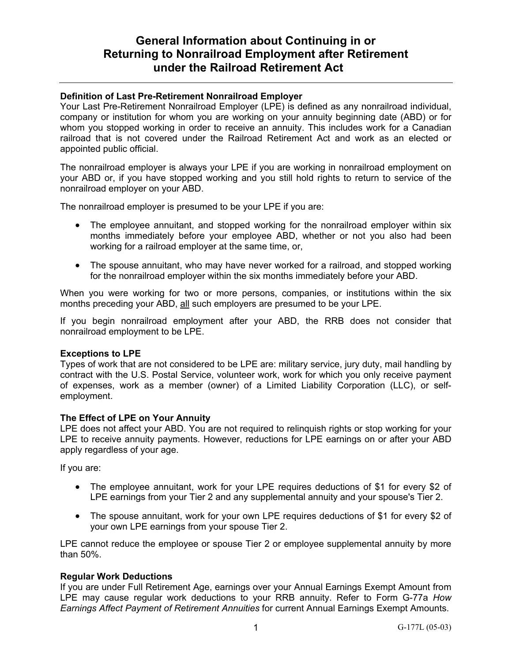# **General Information about Continuing in or Returning to Nonrailroad Employment after Retirement under the Railroad Retirement Act**

### **Definition of Last Pre-Retirement Nonrailroad Employer**

Your Last Pre-Retirement Nonrailroad Employer (LPE) is defined as any nonrailroad individual, company or institution for whom you are working on your annuity beginning date (ABD) or for whom you stopped working in order to receive an annuity. This includes work for a Canadian railroad that is not covered under the Railroad Retirement Act and work as an elected or appointed public official.

The nonrailroad employer is always your LPE if you are working in nonrailroad employment on your ABD or, if you have stopped working and you still hold rights to return to service of the nonrailroad employer on your ABD.

The nonrailroad employer is presumed to be your LPE if you are:

- The employee annuitant, and stopped working for the nonrailroad employer within six months immediately before your employee ABD, whether or not you also had been working for a railroad employer at the same time, or,
- The spouse annuitant, who may have never worked for a railroad, and stopped working for the nonrailroad employer within the six months immediately before your ABD.

When you were working for two or more persons, companies, or institutions within the six months preceding your ABD, all such employers are presumed to be your LPE.

If you begin nonrailroad employment after your ABD, the RRB does not consider that nonrailroad employment to be LPE.

#### **Exceptions to LPE**

Types of work that are not considered to be LPE are: military service, jury duty, mail handling by contract with the U.S. Postal Service, volunteer work, work for which you only receive payment of expenses, work as a member (owner) of a Limited Liability Corporation (LLC), or selfemployment.

#### **The Effect of LPE on Your Annuity**

LPE does not affect your ABD. You are not required to relinquish rights or stop working for your LPE to receive annuity payments. However, reductions for LPE earnings on or after your ABD apply regardless of your age.

If you are:

- The employee annuitant, work for your LPE requires deductions of \$1 for every \$2 of LPE earnings from your Tier 2 and any supplemental annuity and your spouse's Tier 2.
- The spouse annuitant, work for your own LPE requires deductions of \$1 for every \$2 of your own LPE earnings from your spouse Tier 2.

LPE cannot reduce the employee or spouse Tier 2 or employee supplemental annuity by more than 50%.

#### **Regular Work Deductions**

If you are under Full Retirement Age, earnings over your Annual Earnings Exempt Amount from LPE may cause regular work deductions to your RRB annuity. Refer to Form G-77a *How Earnings Affect Payment of Retirement Annuities* for current Annual Earnings Exempt Amounts.